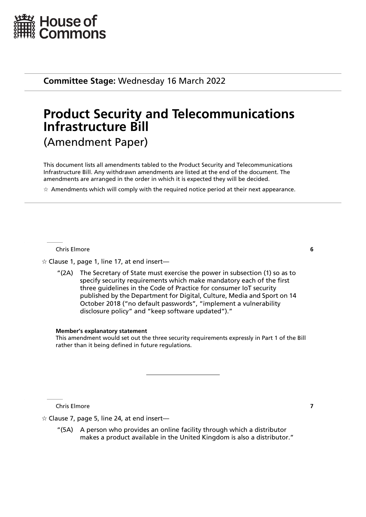

**Committee Stage:** Wednesday 16 March 2022

# **Product Security and Telecommunications Infrastructure Bill** (Amendment Paper)

This document lists all amendments tabled to the Product Security and Telecommunications Infrastructure Bill. Any withdrawn amendments are listed at the end of the document. The amendments are arranged in the order in which it is expected they will be decided.

 $\star$  Amendments which will comply with the required notice period at their next appearance.

Chris Elmore **6**

 $\dot{\varphi}$  Clause 1, page 1, line 17, at end insert—

"(2A) The Secretary of State must exercise the power in subsection (1) so as to specify security requirements which make mandatory each of the first three guidelines in the Code of Practice for consumer IoT security published by the Department for Digital, Culture, Media and Sport on 14 October 2018 ("no default passwords", "implement a vulnerability disclosure policy" and "keep software updated")."

#### **Member's explanatory statement**

This amendment would set out the three security requirements expressly in Part 1 of the Bill rather than it being defined in future regulations.

Chris Elmore **7**

 $\dot{\varphi}$  Clause 7, page 5, line 24, at end insert—

"(5A) A person who provides an online facility through which a distributor makes a product available in the United Kingdom is also a distributor."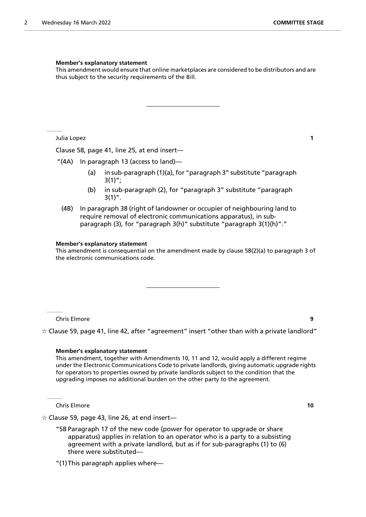#### **Member's explanatory statement**

This amendment would ensure that online marketplaces are considered to be distributors and are thus subject to the security requirements of the Bill.

Julia Lopez **1**

Clause 58, page 41, line 25, at end insert—

"(4A) In paragraph 13 (access to land)—

- (a) in sub-paragraph (1)(a), for "paragraph 3" substitute "paragraph  $3(1)$ ";
- (b) in sub-paragraph (2), for "paragraph 3" substitute "paragraph  $3(1)$ ".
- (4B) In paragraph 38 (right of landowner or occupier of neighbouring land to require removal of electronic communications apparatus), in subparagraph (3), for "paragraph 3(h)" substitute "paragraph 3(1)(h)"."

#### **Member's explanatory statement**

This amendment is consequential on the amendment made by clause 58(2)(a) to paragraph 3 of the electronic communications code.

Chris Elmore **9**

 $\dot{\mathbb{X}}$  Clause 59, page 41, line 42, after "agreement" insert "other than with a private landlord"

#### **Member's explanatory statement**

This amendment, together with Amendments 10, 11 and 12, would apply a different regime under the Electronic Communications Code to private landlords, giving automatic upgrade rights for operators to properties owned by private landlords subject to the condition that the upgrading imposes no additional burden on the other party to the agreement.

Chris Elmore **10**

 $\hat{\varphi}$  Clause 59, page 43, line 26, at end insert—

"5B Paragraph 17 of the new code (power for operator to upgrade or share apparatus) applies in relation to an operator who is a party to a subsisting agreement with a private landlord, but as if for sub-paragraphs (1) to (6) there were substituted—

<sup>&</sup>quot;(1)This paragraph applies where—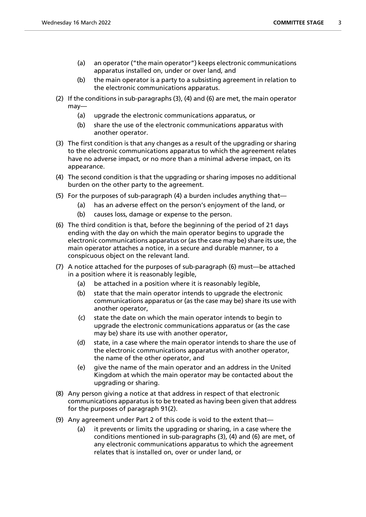- (a) an operator ("the main operator") keeps electronic communications apparatus installed on, under or over land, and
- (b) the main operator is a party to a subsisting agreement in relation to the electronic communications apparatus.
- (2) If the conditions in sub-paragraphs (3), (4) and (6) are met, the main operator may—
	- (a) upgrade the electronic communications apparatus, or
	- (b) share the use of the electronic communications apparatus with another operator.
- (3) The first condition is that any changes as a result of the upgrading or sharing to the electronic communications apparatus to which the agreement relates have no adverse impact, or no more than a minimal adverse impact, on its appearance.
- (4) The second condition is that the upgrading or sharing imposes no additional burden on the other party to the agreement.
- (5) For the purposes of sub-paragraph (4) a burden includes anything that—
	- (a) has an adverse effect on the person's enjoyment of the land, or
	- (b) causes loss, damage or expense to the person.
- (6) The third condition is that, before the beginning of the period of 21 days ending with the day on which the main operator begins to upgrade the electronic communications apparatus or (as the case may be) share its use, the main operator attaches a notice, in a secure and durable manner, to a conspicuous object on the relevant land.
- (7) A notice attached for the purposes of sub-paragraph (6) must—be attached in a position where it is reasonably legible,
	- (a) be attached in a position where it is reasonably legible,
	- (b) state that the main operator intends to upgrade the electronic communications apparatus or (as the case may be) share its use with another operator,
	- (c) state the date on which the main operator intends to begin to upgrade the electronic communications apparatus or (as the case may be) share its use with another operator,
	- (d) state, in a case where the main operator intends to share the use of the electronic communications apparatus with another operator, the name of the other operator, and
	- (e) give the name of the main operator and an address in the United Kingdom at which the main operator may be contacted about the upgrading or sharing.
- (8) Any person giving a notice at that address in respect of that electronic communications apparatus is to be treated as having been given that address for the purposes of paragraph 91(2).
- (9) Any agreement under Part 2 of this code is void to the extent that—
	- (a) it prevents or limits the upgrading or sharing, in a case where the conditions mentioned in sub-paragraphs (3), (4) and (6) are met, of any electronic communications apparatus to which the agreement relates that is installed on, over or under land, or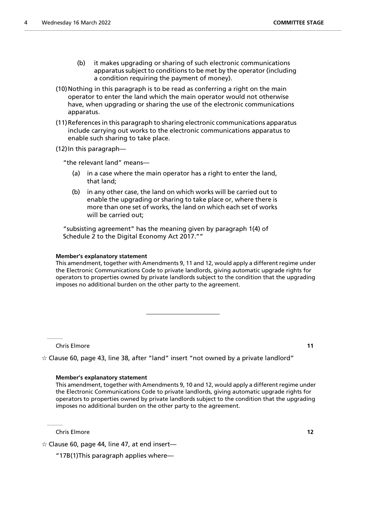- (b) it makes upgrading or sharing of such electronic communications apparatus subject to conditions to be met by the operator (including a condition requiring the payment of money).
- (10)Nothing in this paragraph is to be read as conferring a right on the main operator to enter the land which the main operator would not otherwise have, when upgrading or sharing the use of the electronic communications apparatus.
- (11)References in this paragraph to sharing electronic communications apparatus include carrying out works to the electronic communications apparatus to enable such sharing to take place.

(12)In this paragraph—

"the relevant land" means—

- (a) in a case where the main operator has a right to enter the land, that land;
- (b) in any other case, the land on which works will be carried out to enable the upgrading or sharing to take place or, where there is more than one set of works, the land on which each set of works will be carried out;

"subsisting agreement" has the meaning given by paragraph 1(4) of Schedule 2 to the Digital Economy Act 2017.""

#### **Member's explanatory statement**

This amendment, together with Amendments 9, 11 and 12, would apply a different regime under the Electronic Communications Code to private landlords, giving automatic upgrade rights for operators to properties owned by private landlords subject to the condition that the upgrading imposes no additional burden on the other party to the agreement.

Chris Elmore **11**

 $\dot{\varphi}$  Clause 60, page 43, line 38, after "land" insert "not owned by a private landlord"

#### **Member's explanatory statement**

This amendment, together with Amendments 9, 10 and 12, would apply a different regime under the Electronic Communications Code to private landlords, giving automatic upgrade rights for operators to properties owned by private landlords subject to the condition that the upgrading imposes no additional burden on the other party to the agreement.

Chris Elmore **12**

 $\hat{\varphi}$  Clause 60, page 44, line 47, at end insert—

"17B(1)This paragraph applies where—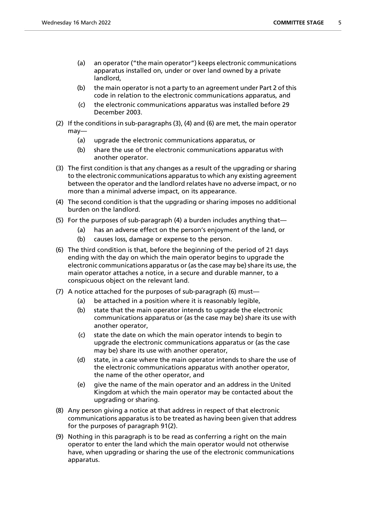- (a) an operator ("the main operator") keeps electronic communications apparatus installed on, under or over land owned by a private landlord,
- (b) the main operator is not a party to an agreement under Part 2 of this code in relation to the electronic communications apparatus, and
- (c) the electronic communications apparatus was installed before 29 December 2003.
- (2) If the conditions in sub-paragraphs (3), (4) and (6) are met, the main operator may—
	- (a) upgrade the electronic communications apparatus, or
	- (b) share the use of the electronic communications apparatus with another operator.
- (3) The first condition is that any changes as a result of the upgrading or sharing to the electronic communications apparatus to which any existing agreement between the operator and the landlord relates have no adverse impact, or no more than a minimal adverse impact, on its appearance.
- (4) The second condition is that the upgrading or sharing imposes no additional burden on the landlord.
- (5) For the purposes of sub-paragraph (4) a burden includes anything that—
	- (a) has an adverse effect on the person's enjoyment of the land, or
	- (b) causes loss, damage or expense to the person.
- (6) The third condition is that, before the beginning of the period of 21 days ending with the day on which the main operator begins to upgrade the electronic communications apparatus or (as the case may be) share its use, the main operator attaches a notice, in a secure and durable manner, to a conspicuous object on the relevant land.
- (7) A notice attached for the purposes of sub-paragraph (6) must—
	- (a) be attached in a position where it is reasonably legible.
	- (b) state that the main operator intends to upgrade the electronic communications apparatus or (as the case may be) share its use with another operator,
	- (c) state the date on which the main operator intends to begin to upgrade the electronic communications apparatus or (as the case may be) share its use with another operator,
	- (d) state, in a case where the main operator intends to share the use of the electronic communications apparatus with another operator, the name of the other operator, and
	- (e) give the name of the main operator and an address in the United Kingdom at which the main operator may be contacted about the upgrading or sharing.
- (8) Any person giving a notice at that address in respect of that electronic communications apparatus is to be treated as having been given that address for the purposes of paragraph 91(2).
- (9) Nothing in this paragraph is to be read as conferring a right on the main operator to enter the land which the main operator would not otherwise have, when upgrading or sharing the use of the electronic communications apparatus.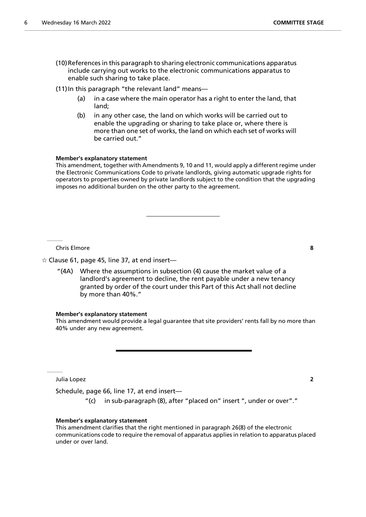- (10)References in this paragraph to sharing electronic communications apparatus include carrying out works to the electronic communications apparatus to enable such sharing to take place.
- (11) In this paragraph "the relevant land" means-
	- (a) in a case where the main operator has a right to enter the land, that land;
	- (b) in any other case, the land on which works will be carried out to enable the upgrading or sharing to take place or, where there is more than one set of works, the land on which each set of works will be carried out."

#### **Member's explanatory statement**

This amendment, together with Amendments 9, 10 and 11, would apply a different regime under the Electronic Communications Code to private landlords, giving automatic upgrade rights for operators to properties owned by private landlords subject to the condition that the upgrading imposes no additional burden on the other party to the agreement.

Chris Elmore **8**

 $\dot{\varphi}$  Clause 61, page 45, line 37, at end insert—

"(4A) Where the assumptions in subsection (4) cause the market value of a landlord's agreement to decline, the rent payable under a new tenancy granted by order of the court under this Part of this Act shall not decline by more than 40%."

#### **Member's explanatory statement**

This amendment would provide a legal guarantee that site providers' rents fall by no more than 40% under any new agreement.

Julia Lopez **2**

Schedule, page 66, line 17, at end insert—

"(c) in sub-paragraph (8), after "placed on" insert ", under or over"."

#### **Member's explanatory statement**

This amendment clarifies that the right mentioned in paragraph 26(8) of the electronic communications code to require the removal of apparatus applies in relation to apparatus placed under or over land.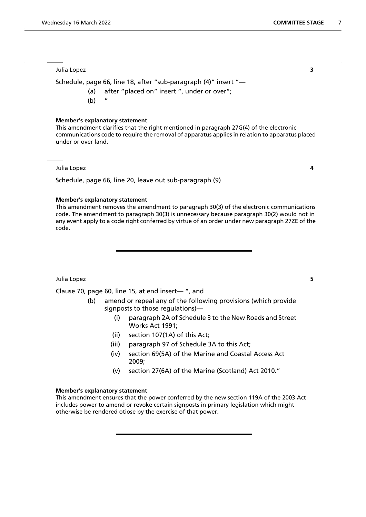Julia Lopez **3**

Schedule, page 66, line 18, after "sub-paragraph (4)" insert "—

- (a) after "placed on" insert ", under or over";
- $(b)$

#### **Member's explanatory statement**

This amendment clarifies that the right mentioned in paragraph 27G(4) of the electronic communications code to require the removal of apparatus applies in relation to apparatus placed under or over land.

Julia Lopez **4**

Schedule, page 66, line 20, leave out sub-paragraph (9)

#### **Member's explanatory statement**

This amendment removes the amendment to paragraph 30(3) of the electronic communications code. The amendment to paragraph 30(3) is unnecessary because paragraph 30(2) would not in any event apply to a code right conferred by virtue of an order under new paragraph 27ZE of the code.

Julia Lopez **5**

Clause 70, page 60, line 15, at end insert— ", and

- (b) amend or repeal any of the following provisions (which provide signposts to those regulations)—
	- (i) paragraph 2A of Schedule 3 to the New Roads and Street Works Act 1991;
	- (ii) section 107(1A) of this Act;
	- (iii) paragraph 97 of Schedule 3A to this Act;
	- (iv) section 69(5A) of the Marine and Coastal Access Act 2009;
	- (v) section 27(6A) of the Marine (Scotland) Act 2010."

#### **Member's explanatory statement**

This amendment ensures that the power conferred by the new section 119A of the 2003 Act includes power to amend or revoke certain signposts in primary legislation which might otherwise be rendered otiose by the exercise of that power.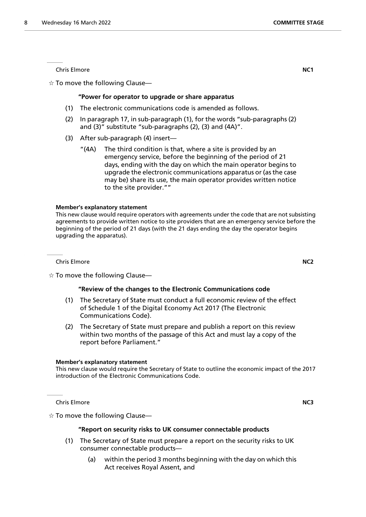**Chris Elmore NC1** 

 $\dot{\varphi}$  To move the following Clause—

#### **"Power for operator to upgrade or share apparatus**

- (1) The electronic communications code is amended as follows.
- (2) In paragraph 17, in sub-paragraph (1), for the words "sub-paragraphs (2) and (3)" substitute "sub-paragraphs (2), (3) and (4A)".
- (3) After sub-paragraph (4) insert—
	- "(4A) The third condition is that, where a site is provided by an emergency service, before the beginning of the period of 21 days, ending with the day on which the main operator begins to upgrade the electronic communications apparatus or (as the case may be) share its use, the main operator provides written notice to the site provider.""

#### **Member's explanatory statement**

This new clause would require operators with agreements under the code that are not subsisting agreements to provide written notice to site providers that are an emergency service before the beginning of the period of 21 days (with the 21 days ending the day the operator begins upgrading the apparatus).

Chris Elmore **NC2**

 $\dot{\mathbb{X}}$  To move the following Clause—

#### **"Review of the changes to the Electronic Communications code**

- (1) The Secretary of State must conduct a full economic review of the effect of Schedule 1 of the Digital Economy Act 2017 (The Electronic Communications Code).
- (2) The Secretary of State must prepare and publish a report on this review within two months of the passage of this Act and must lay a copy of the report before Parliament."

#### **Member's explanatory statement**

This new clause would require the Secretary of State to outline the economic impact of the 2017 introduction of the Electronic Communications Code.

Chris Elmore **NC3**

 $\dot{\varphi}$  To move the following Clause—

#### **"Report on security risks to UK consumer connectable products**

- (1) The Secretary of State must prepare a report on the security risks to UK consumer connectable products—
	- (a) within the period 3 months beginning with the day on which this Act receives Royal Assent, and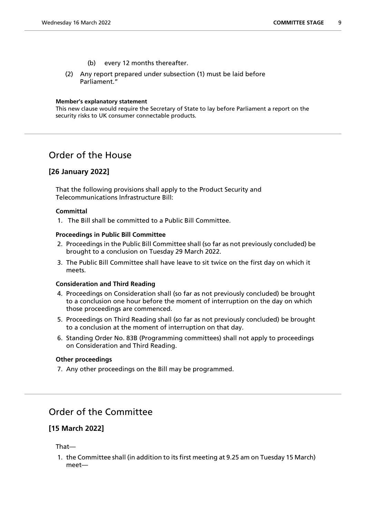- (b) every 12 months thereafter.
- (2) Any report prepared under subsection (1) must be laid before Parliament."

#### **Member's explanatory statement**

This new clause would require the Secretary of State to lay before Parliament a report on the security risks to UK consumer connectable products.

## Order of the House

## **[26 January 2022]**

That the following provisions shall apply to the Product Security and Telecommunications Infrastructure Bill:

#### **Committal**

1. The Bill shall be committed to a Public Bill Committee.

#### **Proceedings in Public Bill Committee**

- 2. Proceedings in the Public Bill Committee shall (so far as not previously concluded) be brought to a conclusion on Tuesday 29 March 2022.
- 3. The Public Bill Committee shall have leave to sit twice on the first day on which it meets.

#### **Consideration and Third Reading**

- 4. Proceedings on Consideration shall (so far as not previously concluded) be brought to a conclusion one hour before the moment of interruption on the day on which those proceedings are commenced.
- 5. Proceedings on Third Reading shall (so far as not previously concluded) be brought to a conclusion at the moment of interruption on that day.
- 6. Standing Order No. 83B (Programming committees) shall not apply to proceedings on Consideration and Third Reading.

#### **Other proceedings**

7. Any other proceedings on the Bill may be programmed.

# Order of the Committee

## **[15 March 2022]**

That—

1. the Committee shall (in addition to its first meeting at 9.25 am on Tuesday 15 March) meet—